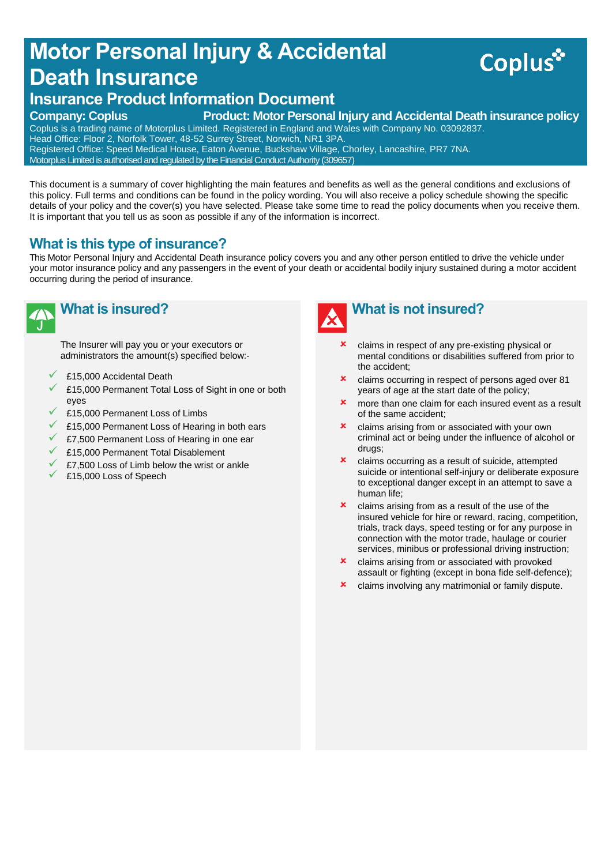# **Motor Personal Injury & Accidental Death Insurance**



# **Insurance Product Information Document**

#### **Company: Coplus Product: Motor Personal Injury and Accidental Death insurance policy**

Coplus is a trading name of Motorplus Limited. Registered in England and Wales with Company No. 03092837. Head Office: Floor 2, Norfolk Tower, 48-52 Surrey Street, Norwich, NR1 3PA. Registered Office: Speed Medical House, Eaton Avenue, Buckshaw Village, Chorley, Lancashire, PR7 7NA. Motorplus Limited is authorised and regulated by the Financial Conduct Authority (309657)

This document is a summary of cover highlighting the main features and benefits as well as the general conditions and exclusions of this policy. Full terms and conditions can be found in the policy wording. You will also receive a policy schedule showing the specific details of your policy and the cover(s) you have selected. Please take some time to read the policy documents when you receive them. It is important that you tell us as soon as possible if any of the information is incorrect.

# **What is this type of insurance?**

This Motor Personal Injury and Accidental Death insurance policy covers you and any other person entitled to drive the vehicle under your motor insurance policy and any passengers in the event of your death or accidental bodily injury sustained during a motor accident occurring during the period of insurance.



# **What is insured?**

The Insurer will pay you or your executors or administrators the amount(s) specified below:-

- £15,000 Accidental Death
- £15,000 Permanent Total Loss of Sight in one or both eyes
- £15,000 Permanent Loss of Limbs
- £15,000 Permanent Loss of Hearing in both ears
- £7,500 Permanent Loss of Hearing in one ear
- $\sqrt{\phantom{a}}$  £15,000 Permanent Total Disablement
- £7,500 Loss of Limb below the wrist or ankle
- £15,000 Loss of Speech



- claims in respect of any pre-existing physical or mental conditions or disabilities suffered from prior to the accident;
- claims occurring in respect of persons aged over 81 years of age at the start date of the policy;
- **x** more than one claim for each insured event as a result of the same accident;
- **x** claims arising from or associated with your own criminal act or being under the influence of alcohol or drugs;
- **x** claims occurring as a result of suicide, attempted suicide or intentional self-injury or deliberate exposure to exceptional danger except in an attempt to save a human life;
- **x** claims arising from as a result of the use of the insured vehicle for hire or reward, racing, competition, trials, track days, speed testing or for any purpose in connection with the motor trade, haulage or courier services, minibus or professional driving instruction;
- **x** claims arising from or associated with provoked assault or fighting (except in bona fide self-defence);
- **x** claims involving any matrimonial or family dispute.